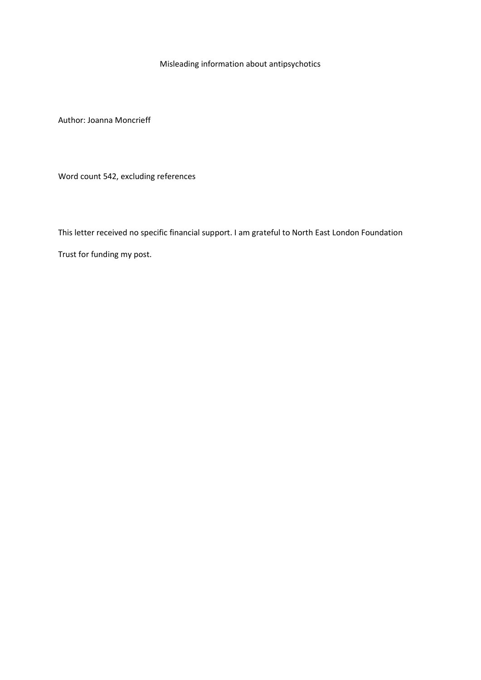Misleading information about antipsychotics

Author: Joanna Moncrieff

Word count 542, excluding references

This letter received no specific financial support. I am grateful to North East London Foundation Trust for funding my post.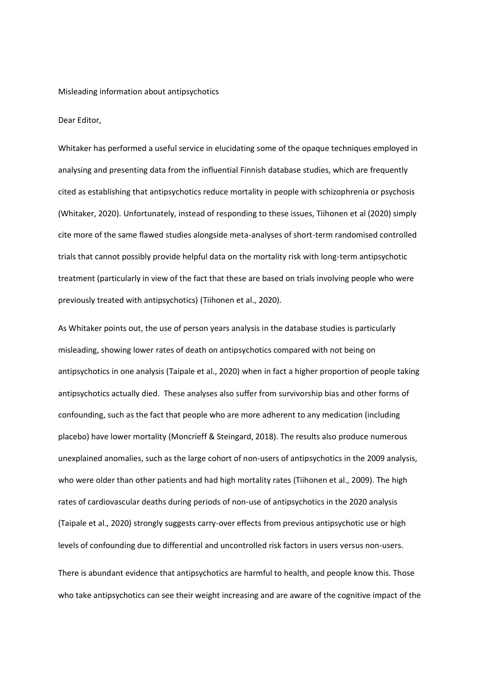## Misleading information about antipsychotics

## Dear Editor,

Whitaker has performed a useful service in elucidating some of the opaque techniques employed in analysing and presenting data from the influential Finnish database studies, which are frequently cited as establishing that antipsychotics reduce mortality in people with schizophrenia or psychosis (Whitaker, 2020). Unfortunately, instead of responding to these issues, Tiihonen et al (2020) simply cite more of the same flawed studies alongside meta-analyses of short-term randomised controlled trials that cannot possibly provide helpful data on the mortality risk with long-term antipsychotic treatment (particularly in view of the fact that these are based on trials involving people who were previously treated with antipsychotics) (Tiihonen et al., 2020).

As Whitaker points out, the use of person years analysis in the database studies is particularly misleading, showing lower rates of death on antipsychotics compared with not being on antipsychotics in one analysis (Taipale et al., 2020) when in fact a higher proportion of people taking antipsychotics actually died. These analyses also suffer from survivorship bias and other forms of confounding, such as the fact that people who are more adherent to any medication (including placebo) have lower mortality (Moncrieff & Steingard, 2018). The results also produce numerous unexplained anomalies, such as the large cohort of non-users of antipsychotics in the 2009 analysis, who were older than other patients and had high mortality rates (Tiihonen et al., 2009). The high rates of cardiovascular deaths during periods of non-use of antipsychotics in the 2020 analysis (Taipale et al., 2020) strongly suggests carry-over effects from previous antipsychotic use or high levels of confounding due to differential and uncontrolled risk factors in users versus non-users.

There is abundant evidence that antipsychotics are harmful to health, and people know this. Those who take antipsychotics can see their weight increasing and are aware of the cognitive impact of the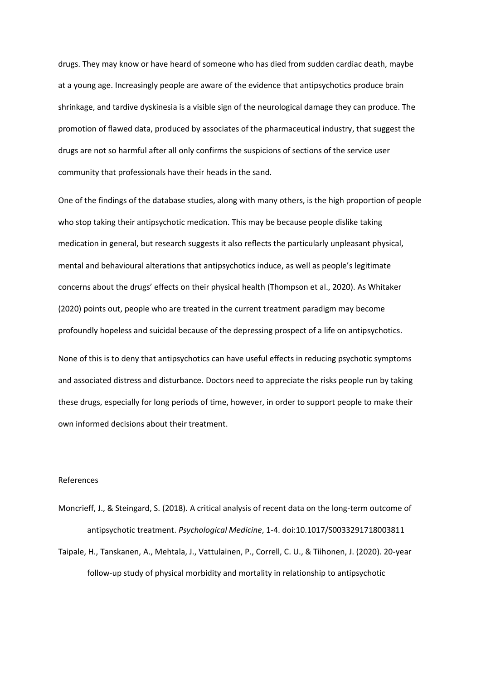drugs. They may know or have heard of someone who has died from sudden cardiac death, maybe at a young age. Increasingly people are aware of the evidence that antipsychotics produce brain shrinkage, and tardive dyskinesia is a visible sign of the neurological damage they can produce. The promotion of flawed data, produced by associates of the pharmaceutical industry, that suggest the drugs are not so harmful after all only confirms the suspicions of sections of the service user community that professionals have their heads in the sand.

One of the findings of the database studies, along with many others, is the high proportion of people who stop taking their antipsychotic medication. This may be because people dislike taking medication in general, but research suggests it also reflects the particularly unpleasant physical, mental and behavioural alterations that antipsychotics induce, as well as people's legitimate concerns about the drugs' effects on their physical health (Thompson et al., 2020). As Whitaker (2020) points out, people who are treated in the current treatment paradigm may become profoundly hopeless and suicidal because of the depressing prospect of a life on antipsychotics.

None of this is to deny that antipsychotics can have useful effects in reducing psychotic symptoms and associated distress and disturbance. Doctors need to appreciate the risks people run by taking these drugs, especially for long periods of time, however, in order to support people to make their own informed decisions about their treatment.

## References

- Moncrieff, J., & Steingard, S. (2018). A critical analysis of recent data on the long-term outcome of antipsychotic treatment. *Psychological Medicine*, 1-4. doi:10.1017/S0033291718003811
- Taipale, H., Tanskanen, A., Mehtala, J., Vattulainen, P., Correll, C. U., & Tiihonen, J. (2020). 20-year follow-up study of physical morbidity and mortality in relationship to antipsychotic